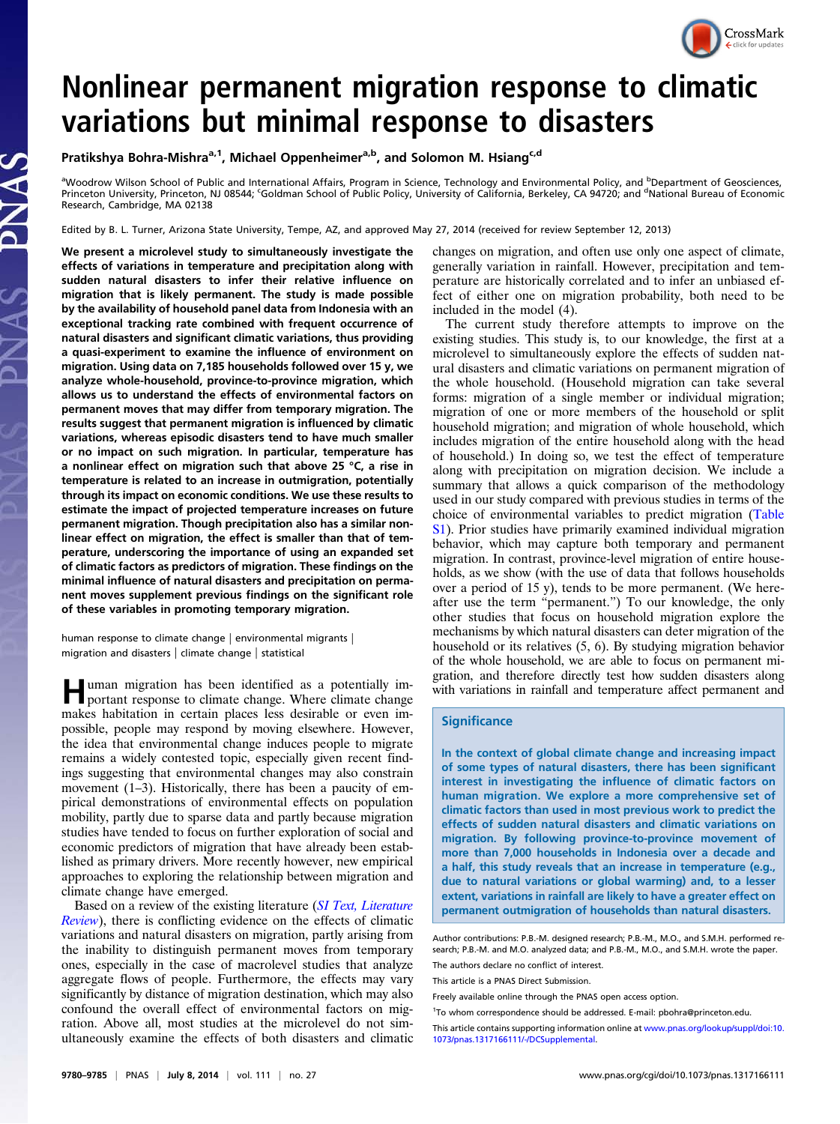

# Nonlinear permanent migration response to climatic variations but minimal response to disasters

Pratikshya Bohra-Mishra<sup>a,1</sup>, Michael Oppenheimer<sup>a,b</sup>, and Solomon M. Hsiang<sup>c,d</sup>

aWoodrow Wilson School of Public and International Affairs, Program in Science, Technology and Environmental Policy, and <sup>b</sup>Department of Geosciences, Princeton University, Princeton, NJ 08544; <sup>c</sup>Goldman School of Public Policy, University of California, Berkeley, CA 94720; and <sup>d</sup>National Bureau of Economic Research, Cambridge, MA 02138

Edited by B. L. Turner, Arizona State University, Tempe, AZ, and approved May 27, 2014 (received for review September 12, 2013)

We present a microlevel study to simultaneously investigate the effects of variations in temperature and precipitation along with sudden natural disasters to infer their relative influence on migration that is likely permanent. The study is made possible by the availability of household panel data from Indonesia with an exceptional tracking rate combined with frequent occurrence of natural disasters and significant climatic variations, thus providing a quasi-experiment to examine the influence of environment on migration. Using data on 7,185 households followed over 15 y, we analyze whole-household, province-to-province migration, which allows us to understand the effects of environmental factors on permanent moves that may differ from temporary migration. The results suggest that permanent migration is influenced by climatic variations, whereas episodic disasters tend to have much smaller or no impact on such migration. In particular, temperature has a nonlinear effect on migration such that above 25 °C, a rise in temperature is related to an increase in outmigration, potentially through its impact on economic conditions. We use these results to estimate the impact of projected temperature increases on future permanent migration. Though precipitation also has a similar nonlinear effect on migration, the effect is smaller than that of temperature, underscoring the importance of using an expanded set of climatic factors as predictors of migration. These findings on the minimal influence of natural disasters and precipitation on permanent moves supplement previous findings on the significant role of these variables in promoting temporary migration.

human response to climate change | environmental migrants | migration and disasters | climate change | statistical

Human migration has been identified as a potentially im-portant response to climate change. Where climate change makes habitation in certain places less desirable or even impossible, people may respond by moving elsewhere. However, the idea that environmental change induces people to migrate remains a widely contested topic, especially given recent findings suggesting that environmental changes may also constrain movement (1–3). Historically, there has been a paucity of empirical demonstrations of environmental effects on population mobility, partly due to sparse data and partly because migration studies have tended to focus on further exploration of social and economic predictors of migration that have already been established as primary drivers. More recently however, new empirical approaches to exploring the relationship between migration and climate change have emerged.

Based on a review of the existing literature ([SI Text, Literature](http://www.pnas.org/lookup/suppl/doi:10.1073/pnas.1317166111/-/DCSupplemental/pnas.201317166SI.pdf?targetid=nameddest=STXT) [Review](http://www.pnas.org/lookup/suppl/doi:10.1073/pnas.1317166111/-/DCSupplemental/pnas.201317166SI.pdf?targetid=nameddest=STXT)), there is conflicting evidence on the effects of climatic variations and natural disasters on migration, partly arising from the inability to distinguish permanent moves from temporary ones, especially in the case of macrolevel studies that analyze aggregate flows of people. Furthermore, the effects may vary significantly by distance of migration destination, which may also confound the overall effect of environmental factors on migration. Above all, most studies at the microlevel do not simultaneously examine the effects of both disasters and climatic changes on migration, and often use only one aspect of climate, generally variation in rainfall. However, precipitation and temperature are historically correlated and to infer an unbiased effect of either one on migration probability, both need to be included in the model (4).

The current study therefore attempts to improve on the existing studies. This study is, to our knowledge, the first at a microlevel to simultaneously explore the effects of sudden natural disasters and climatic variations on permanent migration of the whole household. (Household migration can take several forms: migration of a single member or individual migration; migration of one or more members of the household or split household migration; and migration of whole household, which includes migration of the entire household along with the head of household.) In doing so, we test the effect of temperature along with precipitation on migration decision. We include a summary that allows a quick comparison of the methodology used in our study compared with previous studies in terms of the choice of environmental variables to predict migration ([Table](http://www.pnas.org/lookup/suppl/doi:10.1073/pnas.1317166111/-/DCSupplemental/pnas.201317166SI.pdf?targetid=nameddest=ST1) [S1\)](http://www.pnas.org/lookup/suppl/doi:10.1073/pnas.1317166111/-/DCSupplemental/pnas.201317166SI.pdf?targetid=nameddest=ST1). Prior studies have primarily examined individual migration behavior, which may capture both temporary and permanent migration. In contrast, province-level migration of entire households, as we show (with the use of data that follows households over a period of 15 y), tends to be more permanent. (We hereafter use the term "permanent.") To our knowledge, the only other studies that focus on household migration explore the mechanisms by which natural disasters can deter migration of the household or its relatives (5, 6). By studying migration behavior of the whole household, we are able to focus on permanent migration, and therefore directly test how sudden disasters along with variations in rainfall and temperature affect permanent and

# **Significance**

In the context of global climate change and increasing impact of some types of natural disasters, there has been significant interest in investigating the influence of climatic factors on human migration. We explore a more comprehensive set of climatic factors than used in most previous work to predict the effects of sudden natural disasters and climatic variations on migration. By following province-to-province movement of more than 7,000 households in Indonesia over a decade and a half, this study reveals that an increase in temperature (e.g., due to natural variations or global warming) and, to a lesser extent, variations in rainfall are likely to have a greater effect on permanent outmigration of households than natural disasters.

Author contributions: P.B.-M. designed research; P.B.-M., M.O., and S.M.H. performed research; P.B.-M. and M.O. analyzed data; and P.B.-M., M.O., and S.M.H. wrote the paper.

The authors declare no conflict of interest.

This article is a PNAS Direct Submission.

Freely available online through the PNAS open access option.

<sup>&</sup>lt;sup>1</sup>To whom correspondence should be addressed. E-mail: [pbohra@princeton.edu](mailto:pbohra@princeton.edu).

This article contains supporting information online at [www.pnas.org/lookup/suppl/doi:10.](http://www.pnas.org/lookup/suppl/doi:10.1073/pnas.1317166111/-/DCSupplemental) [1073/pnas.1317166111/-/DCSupplemental.](http://www.pnas.org/lookup/suppl/doi:10.1073/pnas.1317166111/-/DCSupplemental)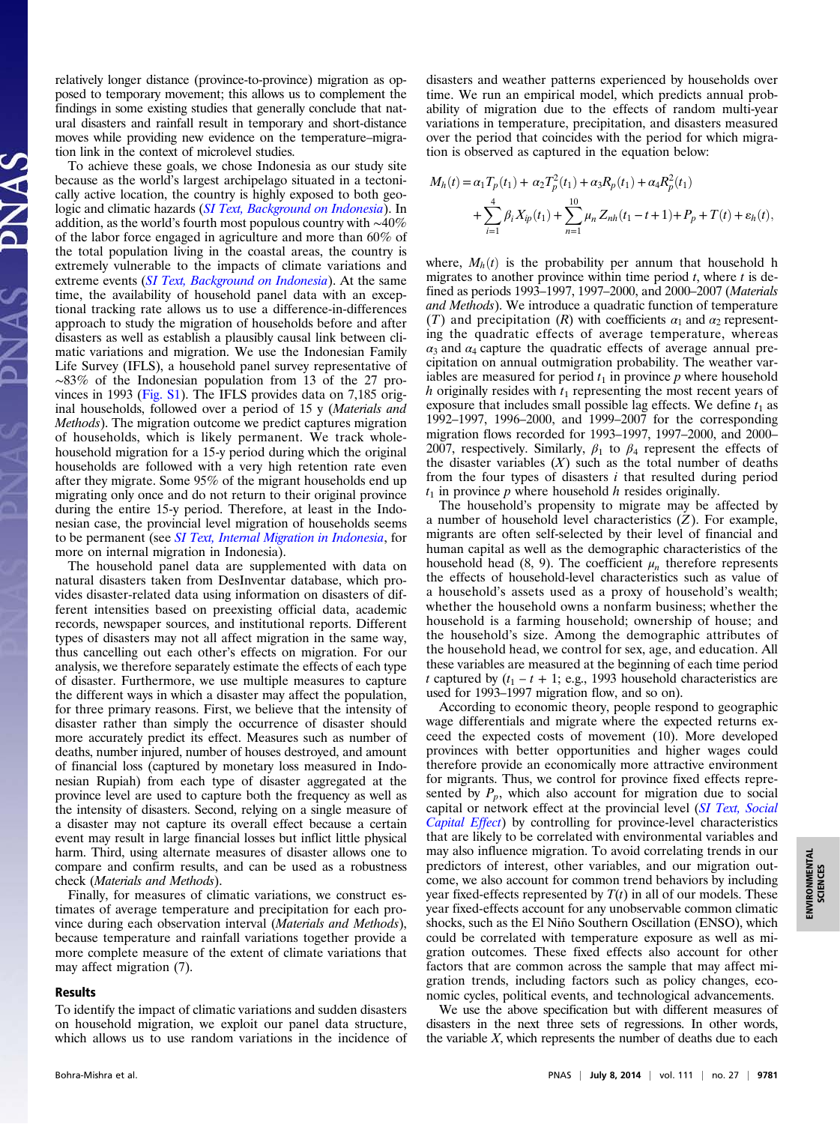relatively longer distance (province-to-province) migration as opposed to temporary movement; this allows us to complement the findings in some existing studies that generally conclude that natural disasters and rainfall result in temporary and short-distance moves while providing new evidence on the temperature–migration link in the context of microlevel studies.

To achieve these goals, we chose Indonesia as our study site because as the world's largest archipelago situated in a tectonically active location, the country is highly exposed to both geo-logic and climatic hazards ([SI Text, Background on Indonesia](http://www.pnas.org/lookup/suppl/doi:10.1073/pnas.1317166111/-/DCSupplemental/pnas.201317166SI.pdf?targetid=nameddest=STXT)). In addition, as the world's fourth most populous country with ∼40% of the labor force engaged in agriculture and more than 60% of the total population living in the coastal areas, the country is extremely vulnerable to the impacts of climate variations and extreme events ([SI Text, Background on Indonesia](http://www.pnas.org/lookup/suppl/doi:10.1073/pnas.1317166111/-/DCSupplemental/pnas.201317166SI.pdf?targetid=nameddest=STXT)). At the same time, the availability of household panel data with an exceptional tracking rate allows us to use a difference-in-differences approach to study the migration of households before and after disasters as well as establish a plausibly causal link between climatic variations and migration. We use the Indonesian Family Life Survey (IFLS), a household panel survey representative of ∼83% of the Indonesian population from 13 of the 27 provinces in 1993 ([Fig. S1\)](http://www.pnas.org/lookup/suppl/doi:10.1073/pnas.1317166111/-/DCSupplemental/pnas.201317166SI.pdf?targetid=nameddest=SF1). The IFLS provides data on 7,185 original households, followed over a period of 15 y (Materials and Methods). The migration outcome we predict captures migration of households, which is likely permanent. We track wholehousehold migration for a 15-y period during which the original households are followed with a very high retention rate even after they migrate. Some 95% of the migrant households end up migrating only once and do not return to their original province during the entire 15-y period. Therefore, at least in the Indonesian case, the provincial level migration of households seems to be permanent (see [SI Text, Internal Migration in Indonesia](http://www.pnas.org/lookup/suppl/doi:10.1073/pnas.1317166111/-/DCSupplemental/pnas.201317166SI.pdf?targetid=nameddest=STXT), for more on internal migration in Indonesia).

The household panel data are supplemented with data on natural disasters taken from DesInventar database, which provides disaster-related data using information on disasters of different intensities based on preexisting official data, academic records, newspaper sources, and institutional reports. Different types of disasters may not all affect migration in the same way, thus cancelling out each other's effects on migration. For our analysis, we therefore separately estimate the effects of each type of disaster. Furthermore, we use multiple measures to capture the different ways in which a disaster may affect the population, for three primary reasons. First, we believe that the intensity of disaster rather than simply the occurrence of disaster should more accurately predict its effect. Measures such as number of deaths, number injured, number of houses destroyed, and amount of financial loss (captured by monetary loss measured in Indonesian Rupiah) from each type of disaster aggregated at the province level are used to capture both the frequency as well as the intensity of disasters. Second, relying on a single measure of a disaster may not capture its overall effect because a certain event may result in large financial losses but inflict little physical harm. Third, using alternate measures of disaster allows one to compare and confirm results, and can be used as a robustness check (Materials and Methods).

Finally, for measures of climatic variations, we construct estimates of average temperature and precipitation for each province during each observation interval (Materials and Methods), because temperature and rainfall variations together provide a more complete measure of the extent of climate variations that may affect migration (7).

### Results

To identify the impact of climatic variations and sudden disasters on household migration, we exploit our panel data structure, which allows us to use random variations in the incidence of disasters and weather patterns experienced by households over time. We run an empirical model, which predicts annual probability of migration due to the effects of random multi-year variations in temperature, precipitation, and disasters measured over the period that coincides with the period for which migration is observed as captured in the equation below:

$$
M_h(t) = \alpha_1 T_p(t_1) + \alpha_2 T_p^2(t_1) + \alpha_3 R_p(t_1) + \alpha_4 R_p^2(t_1)
$$
  
+ 
$$
\sum_{i=1}^4 \beta_i X_{ip}(t_1) + \sum_{n=1}^{10} \mu_n Z_{nh}(t_1 - t_1) + P_p + T(t) + \varepsilon_h(t),
$$

where,  $M_h(t)$  is the probability per annum that household h migrates to another province within time period  $t$ , where  $t$  is defined as periods 1993–1997, 1997–2000, and 2000–2007 (Materials and Methods). We introduce a quadratic function of temperature (T) and precipitation (R) with coefficients  $\alpha_1$  and  $\alpha_2$  representing the quadratic effects of average temperature, whereas  $\alpha_3$  and  $\alpha_4$  capture the quadratic effects of average annual precipitation on annual outmigration probability. The weather variables are measured for period  $t_1$  in province p where household h originally resides with  $t_1$  representing the most recent years of exposure that includes small possible lag effects. We define  $t_1$  as 1992–1997, 1996–2000, and 1999–2007 for the corresponding migration flows recorded for 1993–1997, 1997–2000, and 2000– 2007, respectively. Similarly,  $\beta_1$  to  $\beta_4$  represent the effects of the disaster variables  $(X)$  such as the total number of deaths from the four types of disasters  $i$  that resulted during period  $t_1$  in province p where household h resides originally.

The household's propensity to migrate may be affected by a number of household level characteristics  $(Z)$ . For example, migrants are often self-selected by their level of financial and human capital as well as the demographic characteristics of the household head (8, 9). The coefficient  $\mu_n$  therefore represents the effects of household-level characteristics such as value of a household's assets used as a proxy of household's wealth; whether the household owns a nonfarm business; whether the household is a farming household; ownership of house; and the household's size. Among the demographic attributes of the household head, we control for sex, age, and education. All these variables are measured at the beginning of each time period t captured by  $(t_1 - t + 1; e.g., 1993$  household characteristics are used for 1993–1997 migration flow, and so on).

According to economic theory, people respond to geographic wage differentials and migrate where the expected returns exceed the expected costs of movement (10). More developed provinces with better opportunities and higher wages could therefore provide an economically more attractive environment for migrants. Thus, we control for province fixed effects represented by  $P_p$ , which also account for migration due to social capital or network effect at the provincial level ([SI Text, Social](http://www.pnas.org/lookup/suppl/doi:10.1073/pnas.1317166111/-/DCSupplemental/pnas.201317166SI.pdf?targetid=nameddest=STXT) [Capital Effect](http://www.pnas.org/lookup/suppl/doi:10.1073/pnas.1317166111/-/DCSupplemental/pnas.201317166SI.pdf?targetid=nameddest=STXT)) by controlling for province-level characteristics that are likely to be correlated with environmental variables and may also influence migration. To avoid correlating trends in our predictors of interest, other variables, and our migration outcome, we also account for common trend behaviors by including year fixed-effects represented by  $T(t)$  in all of our models. These year fixed-effects account for any unobservable common climatic shocks, such as the El Niño Southern Oscillation (ENSO), which could be correlated with temperature exposure as well as migration outcomes. These fixed effects also account for other factors that are common across the sample that may affect migration trends, including factors such as policy changes, economic cycles, political events, and technological advancements.

We use the above specification but with different measures of disasters in the next three sets of regressions. In other words, the variable  $X$ , which represents the number of deaths due to each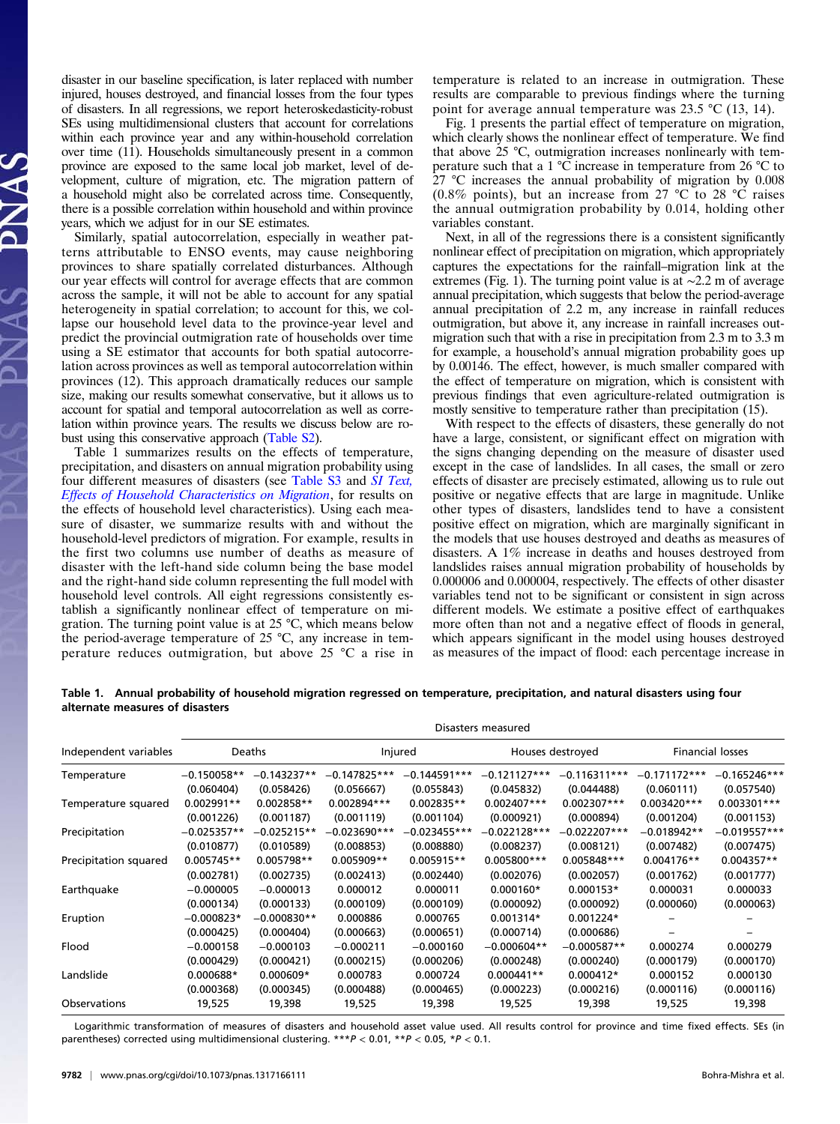disaster in our baseline specification, is later replaced with number injured, houses destroyed, and financial losses from the four types of disasters. In all regressions, we report heteroskedasticity-robust SEs using multidimensional clusters that account for correlations within each province year and any within-household correlation over time (11). Households simultaneously present in a common province are exposed to the same local job market, level of development, culture of migration, etc. The migration pattern of a household might also be correlated across time. Consequently, there is a possible correlation within household and within province years, which we adjust for in our SE estimates.

Similarly, spatial autocorrelation, especially in weather patterns attributable to ENSO events, may cause neighboring provinces to share spatially correlated disturbances. Although our year effects will control for average effects that are common across the sample, it will not be able to account for any spatial heterogeneity in spatial correlation; to account for this, we collapse our household level data to the province-year level and predict the provincial outmigration rate of households over time using a SE estimator that accounts for both spatial autocorrelation across provinces as well as temporal autocorrelation within provinces (12). This approach dramatically reduces our sample size, making our results somewhat conservative, but it allows us to account for spatial and temporal autocorrelation as well as correlation within province years. The results we discuss below are robust using this conservative approach [\(Table S2](http://www.pnas.org/lookup/suppl/doi:10.1073/pnas.1317166111/-/DCSupplemental/pnas.201317166SI.pdf?targetid=nameddest=ST2)).

Table 1 summarizes results on the effects of temperature, precipitation, and disasters on annual migration probability using four different measures of disasters (see [Table S3](http://www.pnas.org/lookup/suppl/doi:10.1073/pnas.1317166111/-/DCSupplemental/pnas.201317166SI.pdf?targetid=nameddest=ST3) and [SI Text,](http://www.pnas.org/lookup/suppl/doi:10.1073/pnas.1317166111/-/DCSupplemental/pnas.201317166SI.pdf?targetid=nameddest=STXT) [Effects of Household Characteristics on Migration](http://www.pnas.org/lookup/suppl/doi:10.1073/pnas.1317166111/-/DCSupplemental/pnas.201317166SI.pdf?targetid=nameddest=STXT), for results on the effects of household level characteristics). Using each measure of disaster, we summarize results with and without the household-level predictors of migration. For example, results in the first two columns use number of deaths as measure of disaster with the left-hand side column being the base model and the right-hand side column representing the full model with household level controls. All eight regressions consistently establish a significantly nonlinear effect of temperature on migration. The turning point value is at 25 °C, which means below the period-average temperature of 25 °C, any increase in temperature reduces outmigration, but above 25 °C a rise in

temperature is related to an increase in outmigration. These results are comparable to previous findings where the turning point for average annual temperature was 23.5 °C (13, 14).

Fig. 1 presents the partial effect of temperature on migration, which clearly shows the nonlinear effect of temperature. We find that above 25 °C, outmigration increases nonlinearly with temperature such that a 1  $\degree$ C increase in temperature from 26  $\degree$ C to 27 °C increases the annual probability of migration by 0.008 (0.8% points), but an increase from 27 °C to 28 °C raises the annual outmigration probability by 0.014, holding other variables constant.

Next, in all of the regressions there is a consistent significantly nonlinear effect of precipitation on migration, which appropriately captures the expectations for the rainfall–migration link at the extremes (Fig. 1). The turning point value is at ∼2.2 m of average annual precipitation, which suggests that below the period-average annual precipitation of 2.2 m, any increase in rainfall reduces outmigration, but above it, any increase in rainfall increases outmigration such that with a rise in precipitation from 2.3 m to 3.3 m for example, a household's annual migration probability goes up by 0.00146. The effect, however, is much smaller compared with the effect of temperature on migration, which is consistent with previous findings that even agriculture-related outmigration is mostly sensitive to temperature rather than precipitation (15).

With respect to the effects of disasters, these generally do not have a large, consistent, or significant effect on migration with the signs changing depending on the measure of disaster used except in the case of landslides. In all cases, the small or zero effects of disaster are precisely estimated, allowing us to rule out positive or negative effects that are large in magnitude. Unlike other types of disasters, landslides tend to have a consistent positive effect on migration, which are marginally significant in the models that use houses destroyed and deaths as measures of disasters. A 1% increase in deaths and houses destroyed from landslides raises annual migration probability of households by 0.000006 and 0.000004, respectively. The effects of other disaster variables tend not to be significant or consistent in sign across different models. We estimate a positive effect of earthquakes more often than not and a negative effect of floods in general, which appears significant in the model using houses destroyed as measures of the impact of flood: each percentage increase in

Table 1. Annual probability of household migration regressed on temperature, precipitation, and natural disasters using four alternate measures of disasters

|                       | Disasters measured |               |                |                |                  |                |                         |                |
|-----------------------|--------------------|---------------|----------------|----------------|------------------|----------------|-------------------------|----------------|
| Independent variables | <b>Deaths</b>      |               | Injured        |                | Houses destroyed |                | <b>Financial losses</b> |                |
| Temperature           | $-0.150058**$      | $-0.143237**$ | $-0.147825***$ | $-0.144591***$ | $-0.121127***$   | $-0.116311***$ | $-0.171172***$          | $-0.165246***$ |
|                       | (0.060404)         | (0.058426)    | (0.056667)     | (0.055843)     | (0.045832)       | (0.044488)     | (0.060111)              | (0.057540)     |
| Temperature squared   | 0.002991**         | 0.002858**    | 0.002894***    | $0.002835**$   | $0.002407***$    | $0.002307***$  | $0.003420***$           | $0.003301***$  |
|                       | (0.001226)         | (0.001187)    | (0.001119)     | (0.001104)     | (0.000921)       | (0.000894)     | (0.001204)              | (0.001153)     |
| Precipitation         | $-0.025357**$      | $-0.025215**$ | $-0.023690***$ | $-0.023455***$ | $-0.022128***$   | $-0.022207***$ | $-0.018942**$           | $-0.019557***$ |
|                       | (0.010877)         | (0.010589)    | (0.008853)     | (0.008880)     | (0.008237)       | (0.008121)     | (0.007482)              | (0.007475)     |
| Precipitation squared | 0.005745**         | $0.005798**$  | $0.005909**$   | $0.005915**$   | 0.005800***      | 0.005848***    | $0.004176**$            | $0.004357**$   |
|                       | (0.002781)         | (0.002735)    | (0.002413)     | (0.002440)     | (0.002076)       | (0.002057)     | (0.001762)              | (0.001777)     |
| Earthquake            | $-0.000005$        | $-0.000013$   | 0.000012       | 0.000011       | $0.000160*$      | 0.000153*      | 0.000031                | 0.000033       |
|                       | (0.000134)         | (0.000133)    | (0.000109)     | (0.000109)     | (0.000092)       | (0.000092)     | (0.000060)              | (0.000063)     |
| Eruption              | $-0.000823*$       | $-0.000830**$ | 0.000886       | 0.000765       | $0.001314*$      | $0.001224*$    |                         |                |
|                       | (0.000425)         | (0.000404)    | (0.000663)     | (0.000651)     | (0.000714)       | (0.000686)     |                         |                |
| Flood                 | $-0.000158$        | $-0.000103$   | $-0.000211$    | $-0.000160$    | $-0.000604**$    | $-0.000587**$  | 0.000274                | 0.000279       |
|                       | (0.000429)         | (0.000421)    | (0.000215)     | (0.000206)     | (0.000248)       | (0.000240)     | (0.000179)              | (0.000170)     |
| Landslide             | $0.000688*$        | $0.000609*$   | 0.000783       | 0.000724       | $0.000441**$     | $0.000412*$    | 0.000152                | 0.000130       |
|                       | (0.000368)         | (0.000345)    | (0.000488)     | (0.000465)     | (0.000223)       | (0.000216)     | (0.000116)              | (0.000116)     |
| Observations          | 19,525             | 19,398        | 19,525         | 19,398         | 19,525           | 19,398         | 19,525                  | 19,398         |

Logarithmic transformation of measures of disasters and household asset value used. All results control for province and time fixed effects. SEs (in parentheses) corrected using multidimensional clustering.  $***P < 0.01$ ,  $**P < 0.05$ ,  $*P < 0.1$ .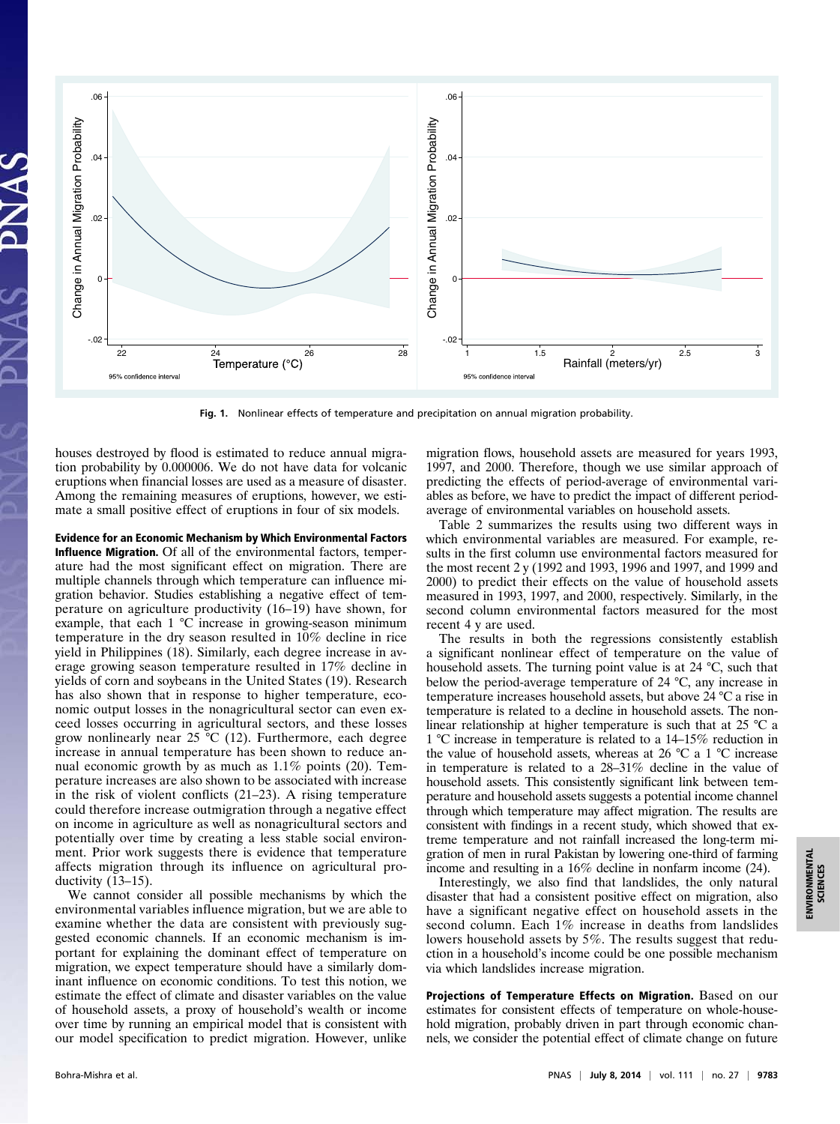

Fig. 1. Nonlinear effects of temperature and precipitation on annual migration probability.

houses destroyed by flood is estimated to reduce annual migration probability by 0.000006. We do not have data for volcanic eruptions when financial losses are used as a measure of disaster. Among the remaining measures of eruptions, however, we estimate a small positive effect of eruptions in four of six models.

Evidence for an Economic Mechanism by Which Environmental Factors Influence Migration. Of all of the environmental factors, temperature had the most significant effect on migration. There are multiple channels through which temperature can influence migration behavior. Studies establishing a negative effect of temperature on agriculture productivity (16–19) have shown, for example, that each 1 °C increase in growing-season minimum temperature in the dry season resulted in 10% decline in rice yield in Philippines (18). Similarly, each degree increase in average growing season temperature resulted in 17% decline in yields of corn and soybeans in the United States (19). Research has also shown that in response to higher temperature, economic output losses in the nonagricultural sector can even exceed losses occurring in agricultural sectors, and these losses grow nonlinearly near 25 °C (12). Furthermore, each degree increase in annual temperature has been shown to reduce annual economic growth by as much as 1.1% points (20). Temperature increases are also shown to be associated with increase in the risk of violent conflicts (21–23). A rising temperature could therefore increase outmigration through a negative effect on income in agriculture as well as nonagricultural sectors and potentially over time by creating a less stable social environment. Prior work suggests there is evidence that temperature affects migration through its influence on agricultural productivity (13–15).

We cannot consider all possible mechanisms by which the environmental variables influence migration, but we are able to examine whether the data are consistent with previously suggested economic channels. If an economic mechanism is important for explaining the dominant effect of temperature on migration, we expect temperature should have a similarly dominant influence on economic conditions. To test this notion, we estimate the effect of climate and disaster variables on the value of household assets, a proxy of household's wealth or income over time by running an empirical model that is consistent with our model specification to predict migration. However, unlike

migration flows, household assets are measured for years 1993, 1997, and 2000. Therefore, though we use similar approach of predicting the effects of period-average of environmental variables as before, we have to predict the impact of different periodaverage of environmental variables on household assets.

Table 2 summarizes the results using two different ways in which environmental variables are measured. For example, results in the first column use environmental factors measured for the most recent 2 y (1992 and 1993, 1996 and 1997, and 1999 and 2000) to predict their effects on the value of household assets measured in 1993, 1997, and 2000, respectively. Similarly, in the second column environmental factors measured for the most recent 4 y are used.

The results in both the regressions consistently establish a significant nonlinear effect of temperature on the value of household assets. The turning point value is at 24 °C, such that below the period-average temperature of 24 °C, any increase in temperature increases household assets, but above 24 °C a rise in temperature is related to a decline in household assets. The nonlinear relationship at higher temperature is such that at 25 °C a 1 °C increase in temperature is related to a 14–15% reduction in the value of household assets, whereas at 26  $\degree$ C a 1  $\degree$ C increase in temperature is related to a 28–31% decline in the value of household assets. This consistently significant link between temperature and household assets suggests a potential income channel through which temperature may affect migration. The results are consistent with findings in a recent study, which showed that extreme temperature and not rainfall increased the long-term migration of men in rural Pakistan by lowering one-third of farming income and resulting in a 16% decline in nonfarm income (24).

Interestingly, we also find that landslides, the only natural disaster that had a consistent positive effect on migration, also have a significant negative effect on household assets in the second column. Each 1% increase in deaths from landslides lowers household assets by 5%. The results suggest that reduction in a household's income could be one possible mechanism via which landslides increase migration.

Projections of Temperature Effects on Migration. Based on our estimates for consistent effects of temperature on whole-household migration, probably driven in part through economic channels, we consider the potential effect of climate change on future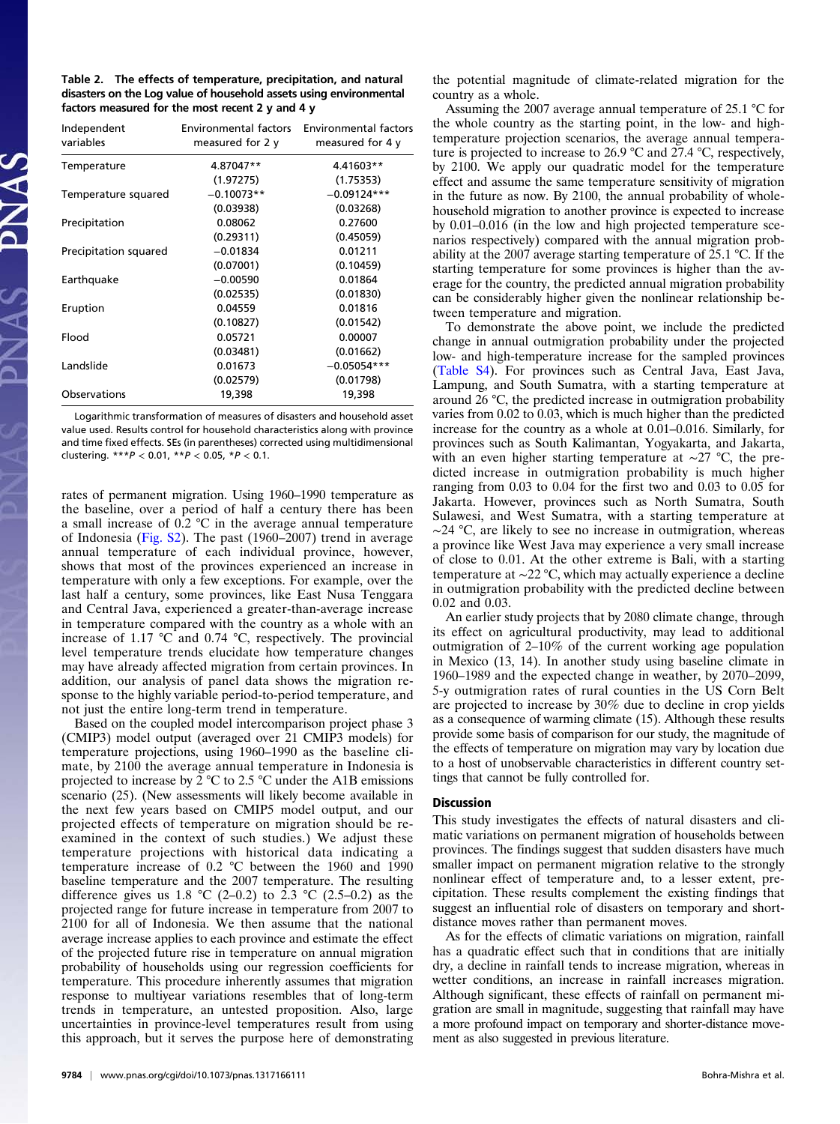| Table 2. The effects of temperature, precipitation, and natural    |
|--------------------------------------------------------------------|
| disasters on the Log value of household assets using environmental |
| factors measured for the most recent 2 $v$ and 4 $v$               |

| Independent<br>variables | measured for $2y$ | Environmental factors Environmental factors<br>measured for 4 y |
|--------------------------|-------------------|-----------------------------------------------------------------|
| Temperature              | 4.87047**         | 4.41603**                                                       |
|                          | (1.97275)         | (1.75353)                                                       |
| Temperature squared      | $-0.10073**$      | $-0.09124***$                                                   |
|                          | (0.03938)         | (0.03268)                                                       |
| Precipitation            | 0.08062           | 0.27600                                                         |
|                          | (0.29311)         | (0.45059)                                                       |
| Precipitation squared    | $-0.01834$        | 0.01211                                                         |
|                          | (0.07001)         | (0.10459)                                                       |
| Earthquake               | $-0.00590$        | 0.01864                                                         |
|                          | (0.02535)         | (0.01830)                                                       |
| Eruption                 | 0.04559           | 0.01816                                                         |
|                          | (0.10827)         | (0.01542)                                                       |
| Flood                    | 0.05721           | 0.00007                                                         |
|                          | (0.03481)         | (0.01662)                                                       |
| Landslide                | 0.01673           | $-0.05054***$                                                   |
|                          | (0.02579)         | (0.01798)                                                       |
| Observations             | 19,398            | 19,398                                                          |

Logarithmic transformation of measures of disasters and household asset value used. Results control for household characteristics along with province and time fixed effects. SEs (in parentheses) corrected using multidimensional clustering.  $***P < 0.01$ ,  $**P < 0.05$ ,  $*P < 0.1$ .

rates of permanent migration. Using 1960–1990 temperature as the baseline, over a period of half a century there has been a small increase of 0.2 °C in the average annual temperature of Indonesia ([Fig. S2](http://www.pnas.org/lookup/suppl/doi:10.1073/pnas.1317166111/-/DCSupplemental/pnas.201317166SI.pdf?targetid=nameddest=SF2)). The past (1960–2007) trend in average annual temperature of each individual province, however, shows that most of the provinces experienced an increase in temperature with only a few exceptions. For example, over the last half a century, some provinces, like East Nusa Tenggara and Central Java, experienced a greater-than-average increase in temperature compared with the country as a whole with an increase of 1.17 °C and 0.74 °C, respectively. The provincial level temperature trends elucidate how temperature changes may have already affected migration from certain provinces. In addition, our analysis of panel data shows the migration response to the highly variable period-to-period temperature, and not just the entire long-term trend in temperature.

Based on the coupled model intercomparison project phase 3 (CMIP3) model output (averaged over 21 CMIP3 models) for temperature projections, using 1960–1990 as the baseline climate, by 2100 the average annual temperature in Indonesia is projected to increase by 2 °C to 2.5 °C under the A1B emissions scenario (25). (New assessments will likely become available in the next few years based on CMIP5 model output, and our projected effects of temperature on migration should be reexamined in the context of such studies.) We adjust these temperature projections with historical data indicating a temperature increase of 0.2 °C between the 1960 and 1990 baseline temperature and the 2007 temperature. The resulting difference gives us 1.8 °C (2–0.2) to 2.3 °C (2.5–0.2) as the projected range for future increase in temperature from 2007 to 2100 for all of Indonesia. We then assume that the national average increase applies to each province and estimate the effect of the projected future rise in temperature on annual migration probability of households using our regression coefficients for temperature. This procedure inherently assumes that migration response to multiyear variations resembles that of long-term trends in temperature, an untested proposition. Also, large uncertainties in province-level temperatures result from using this approach, but it serves the purpose here of demonstrating the potential magnitude of climate-related migration for the country as a whole.

Assuming the 2007 average annual temperature of 25.1 °C for the whole country as the starting point, in the low- and hightemperature projection scenarios, the average annual temperature is projected to increase to 26.9 °C and 27.4 °C, respectively, by 2100. We apply our quadratic model for the temperature effect and assume the same temperature sensitivity of migration in the future as now. By 2100, the annual probability of wholehousehold migration to another province is expected to increase by 0.01–0.016 (in the low and high projected temperature scenarios respectively) compared with the annual migration probability at the 2007 average starting temperature of 25.1 °C. If the starting temperature for some provinces is higher than the average for the country, the predicted annual migration probability can be considerably higher given the nonlinear relationship between temperature and migration.

To demonstrate the above point, we include the predicted change in annual outmigration probability under the projected low- and high-temperature increase for the sampled provinces ([Table S4](http://www.pnas.org/lookup/suppl/doi:10.1073/pnas.1317166111/-/DCSupplemental/pnas.201317166SI.pdf?targetid=nameddest=ST4)). For provinces such as Central Java, East Java, Lampung, and South Sumatra, with a starting temperature at around 26 °C, the predicted increase in outmigration probability varies from 0.02 to 0.03, which is much higher than the predicted increase for the country as a whole at 0.01–0.016. Similarly, for provinces such as South Kalimantan, Yogyakarta, and Jakarta, with an even higher starting temperature at ∼27 °C, the predicted increase in outmigration probability is much higher ranging from 0.03 to 0.04 for the first two and 0.03 to 0.05 for Jakarta. However, provinces such as North Sumatra, South Sulawesi, and West Sumatra, with a starting temperature at ∼24 °C, are likely to see no increase in outmigration, whereas a province like West Java may experience a very small increase of close to 0.01. At the other extreme is Bali, with a starting temperature at ∼22 °C, which may actually experience a decline in outmigration probability with the predicted decline between 0.02 and 0.03.

An earlier study projects that by 2080 climate change, through its effect on agricultural productivity, may lead to additional outmigration of 2–10% of the current working age population in Mexico (13, 14). In another study using baseline climate in 1960–1989 and the expected change in weather, by 2070–2099, 5-y outmigration rates of rural counties in the US Corn Belt are projected to increase by 30% due to decline in crop yields as a consequence of warming climate (15). Although these results provide some basis of comparison for our study, the magnitude of the effects of temperature on migration may vary by location due to a host of unobservable characteristics in different country settings that cannot be fully controlled for.

# **Discussion**

This study investigates the effects of natural disasters and climatic variations on permanent migration of households between provinces. The findings suggest that sudden disasters have much smaller impact on permanent migration relative to the strongly nonlinear effect of temperature and, to a lesser extent, precipitation. These results complement the existing findings that suggest an influential role of disasters on temporary and shortdistance moves rather than permanent moves.

As for the effects of climatic variations on migration, rainfall has a quadratic effect such that in conditions that are initially dry, a decline in rainfall tends to increase migration, whereas in wetter conditions, an increase in rainfall increases migration. Although significant, these effects of rainfall on permanent migration are small in magnitude, suggesting that rainfall may have a more profound impact on temporary and shorter-distance movement as also suggested in previous literature.